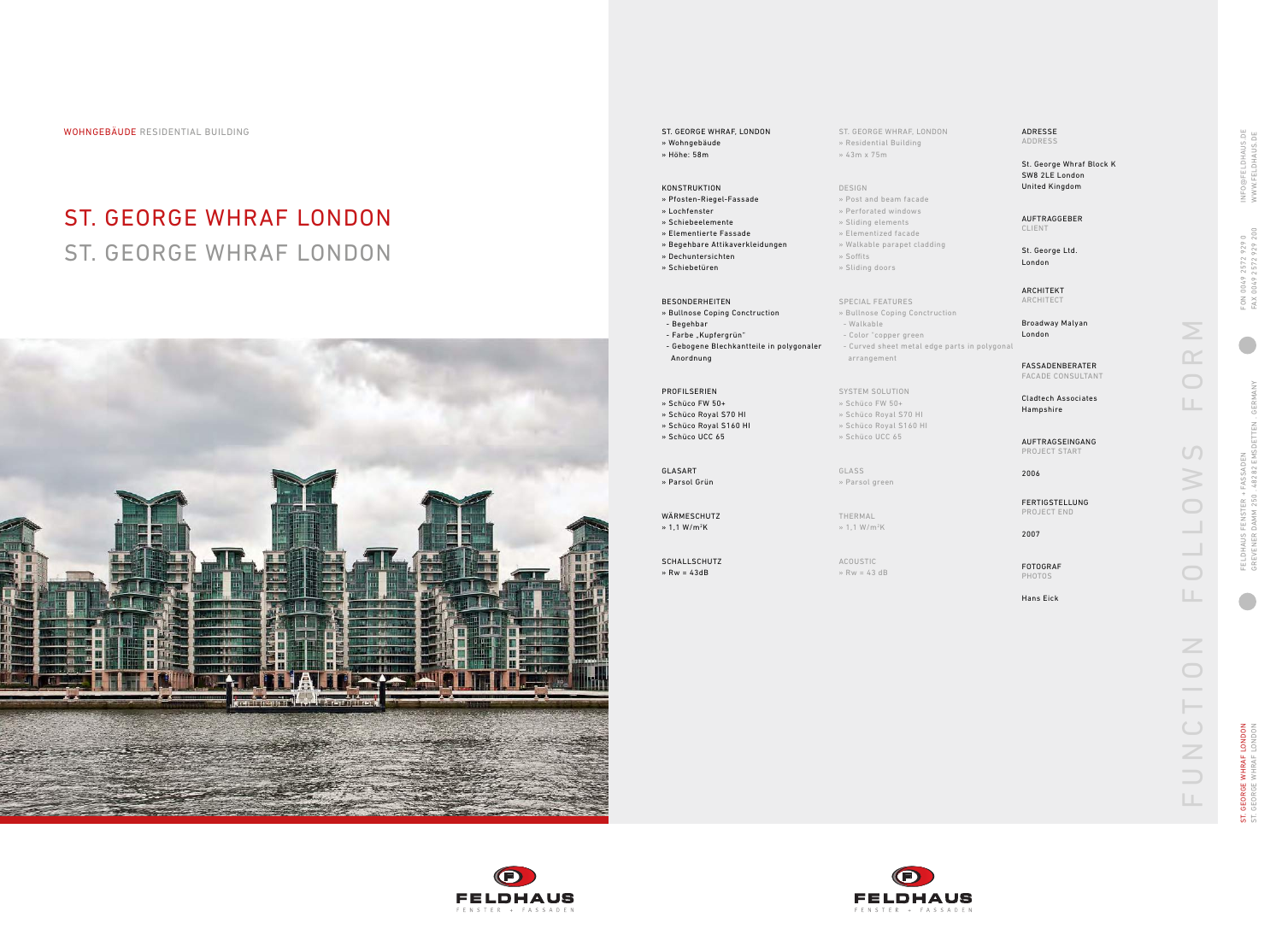WOHNGEBÄUDE RESIDENTIAL BUILDING ST. GEORGE WHRAF, LONDON

# ST. GEORGE WHRAF LONDON ST. GEORGE WHRAF LONDON



- 
- 

ST. GEORGE WHRAF, LONDON » Residential Building » 43m x 75m

DESIGN

 $\ast$  Soffits » Sliding doors

» Post and beam facade » Perforated windows » Sliding elements » Elementized facade » Walkable parapet cladding

THERMAL  $\frac{1}{2}$  1,1 W/m<sup>2</sup>K

SPECIAL FEATURES

» Bullnose Coping Conctruction

- Walkable

- Color "copper green

- Curved sheet metal edge parts in polygonal

arrangement

SYSTEM SOLUTION » Schüco FW 50+ » Schüco Royal S70 HI » Schüco Royal S160 HI » Schüco UCC 65

GLASS » Parsol green

ACOUSTIC

» Rw = 43 dB



WÄRMESCHUTZ  $\frac{1}{2}$  1,1 W/m<sup>2</sup>K





GEORGE WHRAF LONDON<br>GEORGE WHRAF LONDON ST. GEORGE WHRAF LONDON ST. GEORGE WHRAF LONDON  $55$ 





### KONSTRUKTION

- » Pfosten-Riegel-Fassade
- » Lochfenster
- » Schiebeelemente
- » Elementierte Fassade » Begehbare Attikaverkleidungen
- » Dechuntersichten
- » Schiebetüren

#### BESONDERHEITEN

- » Bullnose Coping Conctruction - Begehbar
- Farbe "Kupfergrün"
- Gebogene Blechkantteile in polygonaler Anordnung
- PROFILSERIEN » Schüco FW 50+
- » Schüco Royal S70 HI
- » Schüco Royal S160 HI
- » Schüco UCC 65

GLASART » Parsol Grün

SCHALLSCHUTZ » Rw = 43dB

**FELDHAUS** 

|  |  |  | <b>ADRESSE</b> |
|--|--|--|----------------|
|  |  |  | <b>ADDRESS</b> |

St. George Whraf Block K SW8 2LE London United Kingdom

AUFTRAGGEBER CLIENT

St. George Ltd. London

ARCHITEKT ARCHITECT

Broadway Malyan London

FASSADENBERATER FACADE CONSULTANT

Cladtech Associates Hampshire

AUFTRAGSEINGANG PROJECT START

2006

FERTIGSTELLUNG PROJECT END

2007

FOTOGRAF PHOTOS

Hans Eick

 $\frac{N}{N}$ FUNCTION FOLLOWS FORM  $\overline{\bigcirc}$  $\mathbb{H}$  .  $\cup$ N O  $\sim$  10  $\bigcirc$  $\Box$ UNCTION  $\Box$